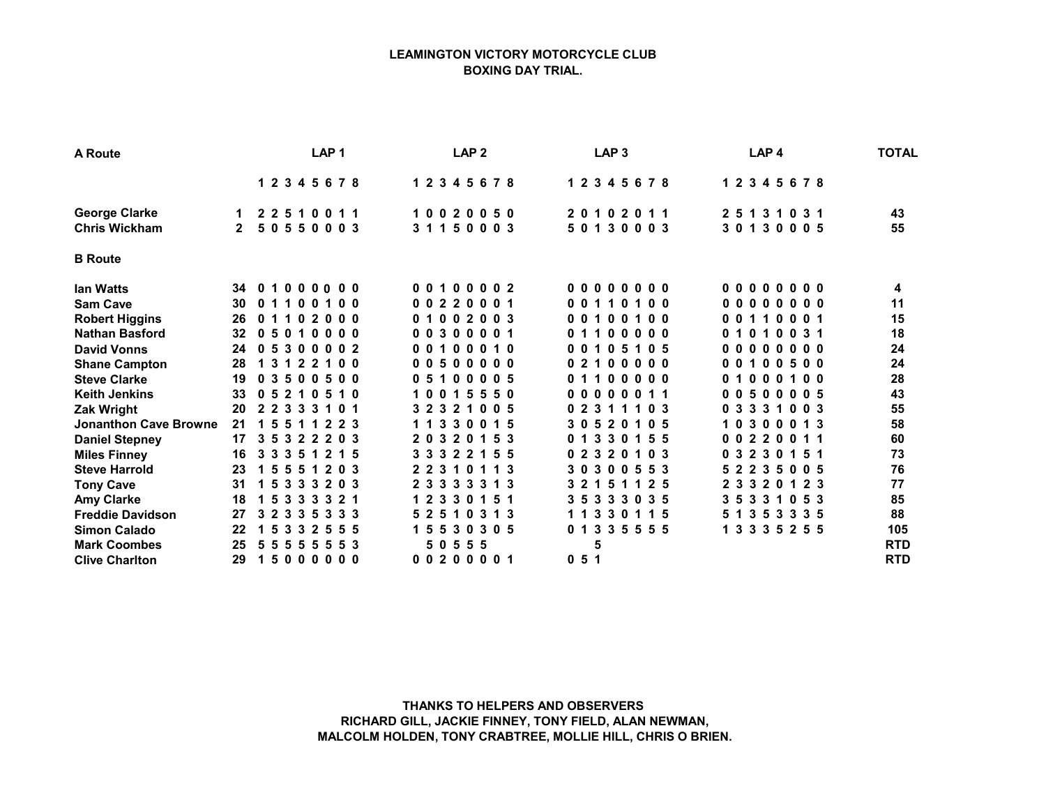## LEAMINGTON VICTORY MOTORCYCLE CLUB BOXING DAY TRIAL.

| A Route                      | LAP <sub>1</sub>                                                 | LAP <sub>2</sub>                                                 | LAP <sub>3</sub>                           | LAP <sub>4</sub>                            | <b>TOTAL</b> |
|------------------------------|------------------------------------------------------------------|------------------------------------------------------------------|--------------------------------------------|---------------------------------------------|--------------|
|                              | 1 2 3 4 5 6 7 8                                                  | 1 2 3 4 5 6 7 8                                                  | 1 2 3 4 5 6 7 8                            | 1 2 3 4 5 6 7 8                             |              |
| <b>George Clarke</b>         | 2 2 5 1 0 0 1 1<br>$\mathbf 1$                                   | 10020050                                                         | 20102011                                   | 25131031                                    | 43           |
| <b>Chris Wickham</b>         | 2 5 0 5 5 0 0 0 3                                                | 31150003                                                         | 50130003                                   | 30130005                                    | 55           |
| <b>B</b> Route               |                                                                  |                                                                  |                                            |                                             |              |
| <b>Ian Watts</b>             | $000000$<br>34<br>0 <sub>1</sub>                                 | 00100002                                                         | 000000000                                  | 00000000                                    | 4            |
| <b>Sam Cave</b>              | 30<br>0 <sub>0</sub><br>01<br>100<br>1                           | 00220001                                                         | 00110<br>100                               | 00000000                                    | 11           |
| <b>Robert Higgins</b>        | 26<br>01102000                                                   | 01002003                                                         | 00100100                                   | 00110001                                    | 15           |
| <b>Nathan Basford</b>        | 32 <sub>2</sub><br>0.5<br>0 <sub>0</sub><br>010                  | 00300001                                                         | $0\quad 0\quad 0\quad 0\quad 0$<br>0, 1, 1 | 010031<br>01                                | 18           |
| <b>David Vonns</b>           | 24<br>0 <sub>5</sub><br>300<br>0 <sub>0</sub> 2                  | 0 <sub>0</sub><br>10<br>1<br>- 0<br>$\mathbf{0}$<br>$\mathbf{0}$ | 0 5 1 0 5<br>001                           | 000<br>00<br>$\mathbf{0}$<br>0 <sub>0</sub> | 24           |
| <b>Shane Campton</b>         | 28<br>22100<br>1 <sub>3</sub><br>$\mathbf 1$                     | 0050<br>$0\;0\;0\;0$                                             | 021<br>$0\;0\;0\;0\;0$                     | 100500<br>00                                | 24           |
| <b>Steve Clarke</b>          | 19<br>03500500                                                   | 05100005                                                         | $0\;0\;0\;0\;0$<br>0, 1, 1                 | 000100<br>0 <sub>1</sub>                    | 28           |
| <b>Keith Jenkins</b>         | 33<br>210<br>0 <sub>5</sub><br>5 1 0                             | $5\overline{5}$<br>550<br>1001                                   | $0\,0\,0$<br>00011                         | 500<br>005<br>0 <sub>0</sub>                | 43           |
| Zak Wright                   | 20<br>2 2 3 3 3<br>1 0 1                                         | 3 2 3 2 1<br>005                                                 | 0 2 3 1 1 1 0 3                            | 0 3 3 3 1<br>0 <sub>0<sub>3</sub></sub>     | 55           |
| <b>Jonanthon Cave Browne</b> | 21<br>223<br>1551<br>-1                                          | 1 1 3 3 0 0 1 5                                                  | 3 0 5 2 0<br>105                           | 10300013                                    | 58           |
| <b>Daniel Stepney</b>        | 3 2 2 2 0 3<br>17<br>3 <sub>5</sub>                              | 2 0 3 2 0 1 5 3                                                  | 0 1 3 3 0 1 5 5                            | 002200<br>11                                | 60           |
| <b>Miles Finney</b>          | 3 <sub>3</sub><br>$3\,5$<br>2 1 5<br>16<br>-1                    | 3 3 3 2 2 1 5 5                                                  | 0 2 3 2 0 1 0 3                            | 2 3 0 1 5 1<br>-3<br>0                      | 73           |
| <b>Steve Harrold</b>         | 23<br>203<br>15<br>551                                           | 2 2 3 1<br>$\mathbf{0}$<br>13<br>$\blacktriangleleft$            | 3 0 3 0 0 5 5 3                            | 52235005                                    | 76           |
| <b>Tony Cave</b>             | 3 3 3 2 0 3<br>31<br>-5                                          | 2 3 3 3 3<br>$3 \; 1 \; 3$                                       | 1 2 5<br>3 2 1<br>51                       | 2 3 3 2 0 1 2 3                             | 77           |
| <b>Amy Clarke</b>            | 18<br>3 3 3 3 2 1                                                | 1 2 3 3 0 1 5 1                                                  | 3 5 3 3 3 0 3 5                            | 3 3 1 0 5 3<br>35                           | 85           |
| <b>Freddie Davidson</b>      | 27<br>3 <sub>2</sub><br>$3\overline{5}$<br>3 3 3<br>$\mathbf{3}$ | 5251<br>3 1 3<br>$\mathbf 0$                                     | 1 1 3 3 0 1 1 5                            | 5 1 3 5 3 3 3 5                             | 88           |
| <b>Simon Calado</b>          | 22<br>3 3 2 5 5 5<br>-5                                          | 1 5 5 3 0 3 0 5                                                  | 0 1 3 3 5 5 5 5                            | 1 3 3 3 5 2 5 5                             | 105          |
| <b>Mark Coombes</b>          | 25<br>553<br>5<br>-5<br>5.<br>-5<br>-5                           | 5 0 5 5 5                                                        | 5                                          |                                             | <b>RTD</b>   |
| <b>Clive Charlton</b>        | 29<br>15000000                                                   | 00200001                                                         | 051                                        |                                             | <b>RTD</b>   |

THANKS TO HELPERS AND OBSERVERS RICHARD GILL, JACKIE FINNEY, TONY FIELD, ALAN NEWMAN, MALCOLM HOLDEN, TONY CRABTREE, MOLLIE HILL, CHRIS O BRIEN.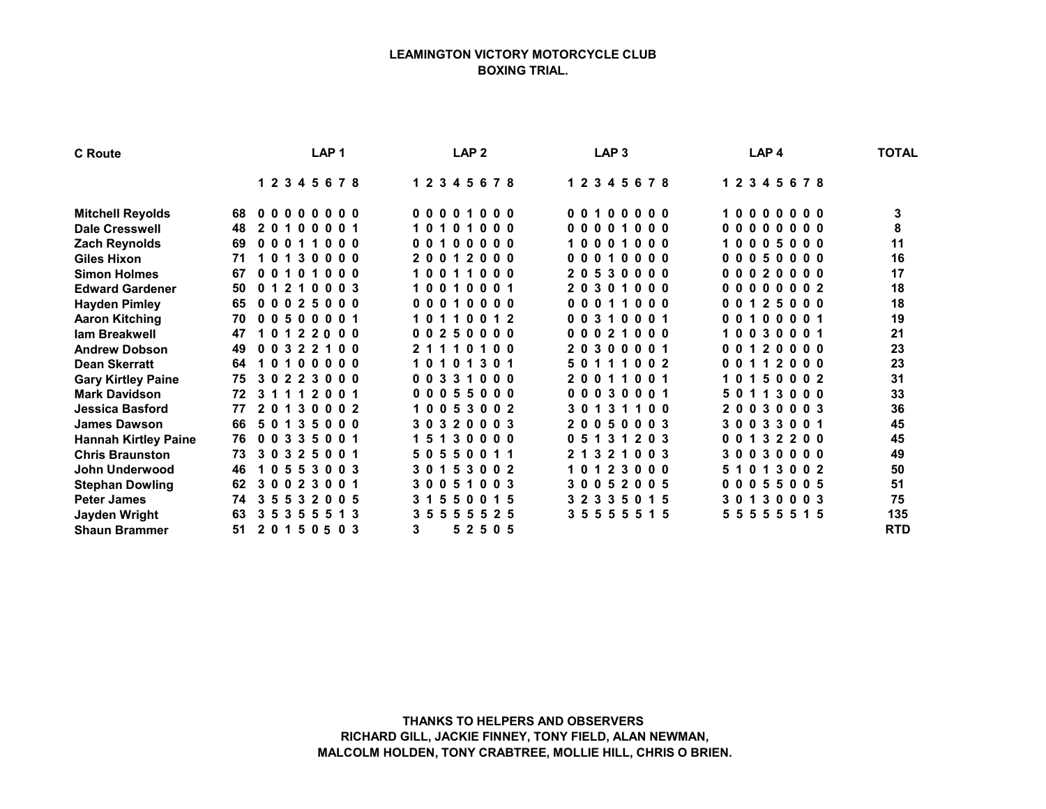## LEAMINGTON VICTORY MOTORCYCLE CLUB BOXING TRIAL.

| <b>C</b> Route              | LAP <sub>1</sub>                                        | LAP <sub>2</sub>                        | LAP <sub>3</sub>                        | LAP <sub>4</sub>                  | <b>TOTAL</b> |
|-----------------------------|---------------------------------------------------------|-----------------------------------------|-----------------------------------------|-----------------------------------|--------------|
|                             | 1 2 3 4 5 6 7 8                                         | 12345678                                | 1 2 3 4 5 6 7 8                         | 1 2 3 4 5 6 7 8                   |              |
| <b>Mitchell Reyolds</b>     | 00000000<br>68.                                         | 00001000                                | 00100000                                | 10000000                          | 3            |
| <b>Dale Cresswell</b>       | 48<br>20<br>0 <sub>0</sub><br>001<br>1.                 | 000<br>1010<br>$\mathbf 1$              | 000010<br>00                            | 00000<br>000                      | 8            |
| <b>Zach Reynolds</b>        | 69<br>0001<br>00<br>0                                   | 00100000                                | 10001000                                | 10005000                          | 11           |
| <b>Giles Hixon</b>          | 30000<br>71<br>1 O<br>$\mathbf 1$                       | 20012000                                | 00010000                                | 00050000                          | 16           |
| <b>Simon Holmes</b>         | 67<br>0 <sub>0</sub><br>0 <sub>0</sub><br>-1<br>0<br>-1 | 10011<br>0 <sub>0</sub>                 | 20530000                                | 00020000                          | 17           |
| <b>Edward Gardener</b>      | 50<br>210003<br>0 <sub>1</sub>                          | 10010001                                | 20301000                                | 00000002                          | 18           |
| <b>Hayden Pimley</b>        | 0, 2, 5<br>000<br>65<br>0 <sub>0</sub>                  | 000<br>000<br>0<br>$\mathbf 1$          | $0\quad 0\quad 0$<br>0001<br>-1         | 25000<br>001                      | 18           |
| <b>Aaron Kitching</b>       | 70<br>500<br>001<br>0 <sub>0</sub>                      | 1011<br>0012                            | 00310001                                | 001<br>00001                      | 19           |
| lam Breakwell               | 122000<br>47<br>1 O                                     | 00250000                                | 0 <sub>0</sub><br>210<br>0 <sub>0</sub> | 0 3 0<br>001<br>10                | 21           |
| <b>Andrew Dobson</b>        | 49<br>0 0 3 2 2<br>100                                  | 21110100                                | 20300001                                | 00120000                          | 23           |
| <b>Dean Skerratt</b>        | 64<br>100000<br>1 O                                     | 301<br>10101                            | 50111002                                | 112000<br>00                      | 23           |
| <b>Gary Kirtley Paine</b>   | 30223000<br>75                                          | 0 <sub>0</sub><br>$0 \t0 \t3$<br>31     | 20011001                                | 0 <sub>0</sub> 2<br>50<br>0<br>-1 | 31           |
| <b>Mark Davidson</b>        | 72<br>31112001                                          | 00055000                                | 00030001                                | 113000<br>50                      | 33           |
| Jessica Basford             | 30002<br>2 <sub>0</sub><br>77<br>$\mathbf 1$            | 10053002                                | 301<br>311<br>00                        | 20030003                          | 36           |
| <b>James Dawson</b>         | 66<br>$3\,5$<br>50<br>000<br>$\mathbf 1$                | 3 0 3 2 0 0 0 3                         | 20050003                                | 30033001                          | 45           |
| <b>Hannah Kirtley Paine</b> | 00335001<br>76                                          | 15130000                                | 0 5 1 3 1 2 0 3                         | 0 0 1 3 2 2 0 0                   | 45           |
| <b>Chris Braunston</b>      | 73<br>325<br>$0\,0\,1$<br>3 O                           | 50550011                                | 2 1 3 2 1 0 0 3                         | 30030000                          | 49           |
| John Underwood              | 553003<br>46<br>0                                       | -5<br>3002<br>301                       | 10123000                                | 51013002                          | 50           |
| <b>Stephan Dowling</b>      | 62<br>023<br>$0\,0\,1$<br>3 O                           | 3 0 0 5 1<br>0 <sub>0<sub>3</sub></sub> | 30052005                                | 055005<br>00                      | 51           |
| <b>Peter James</b>          | 74<br>3 5 5 3 2 0 0 5                                   | 3 1 5<br>50<br>0 1 5                    | 3 2 3 3 5 0 1 5                         | 30130003                          | 75           |
| Jayden Wright               | 63<br>355<br>13<br>35<br>5.                             | 3 5 5 5 5 5 2 5                         | 3 5 5 5 5 5 1 5                         | 5 5 5 5 5 5 1 5                   | 135          |
| <b>Shaun Brammer</b>        | 51<br>20150503                                          | 3<br>5 2 5 0 5                          |                                         |                                   | <b>RTD</b>   |

THANKS TO HELPERS AND OBSERVERS RICHARD GILL, JACKIE FINNEY, TONY FIELD, ALAN NEWMAN, MALCOLM HOLDEN, TONY CRABTREE, MOLLIE HILL, CHRIS O BRIEN.